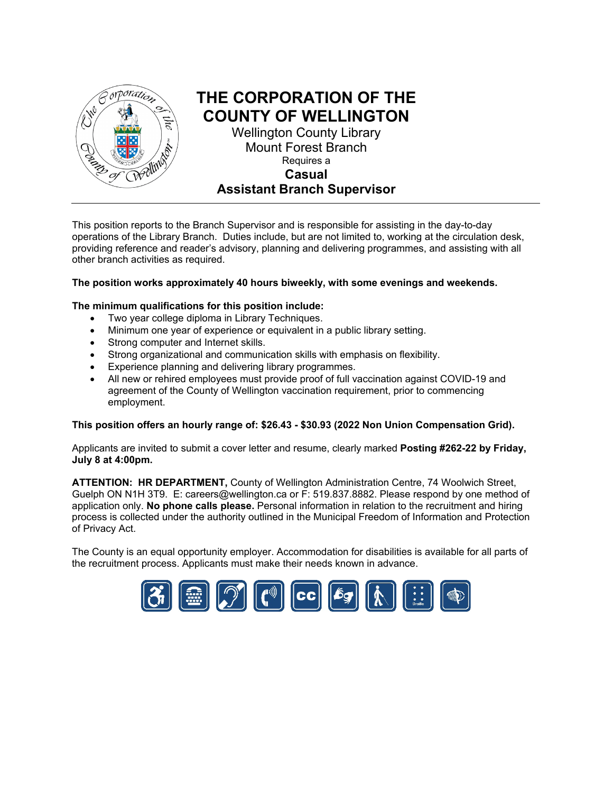

## **THE CORPORATION OF THE COUNTY OF WELLINGTON** Wellington County Library

Mount Forest Branch Requires a **Casual Assistant Branch Supervisor**

This position reports to the Branch Supervisor and is responsible for assisting in the day-to-day operations of the Library Branch. Duties include, but are not limited to, working at the circulation desk, providing reference and reader's advisory, planning and delivering programmes, and assisting with all other branch activities as required.

#### **The position works approximately 40 hours biweekly, with some evenings and weekends.**

#### **The minimum qualifications for this position include:**

- Two year college diploma in Library Techniques.
- Minimum one year of experience or equivalent in a public library setting.
- Strong computer and Internet skills.
- Strong organizational and communication skills with emphasis on flexibility.
- Experience planning and delivering library programmes.
- All new or rehired employees must provide proof of full vaccination against COVID-19 and agreement of the County of Wellington vaccination requirement, prior to commencing employment.

#### **This position offers an hourly range of: \$26.43 - \$30.93 (2022 Non Union Compensation Grid).**

Applicants are invited to submit a cover letter and resume, clearly marked **Posting #262-22 by Friday, July 8 at 4:00pm.** 

**ATTENTION: HR DEPARTMENT,** County of Wellington Administration Centre, 74 Woolwich Street, Guelph ON N1H 3T9. E: [careers@wellington.ca](mailto:careers@wellington.ca) or F: 519.837.8882. Please respond by one method of application only. **No phone calls please.** Personal information in relation to the recruitment and hiring process is collected under the authority outlined in the Municipal Freedom of Information and Protection of Privacy Act.

The County is an equal opportunity employer. Accommodation for disabilities is available for all parts of the recruitment process. Applicants must make their needs known in advance.

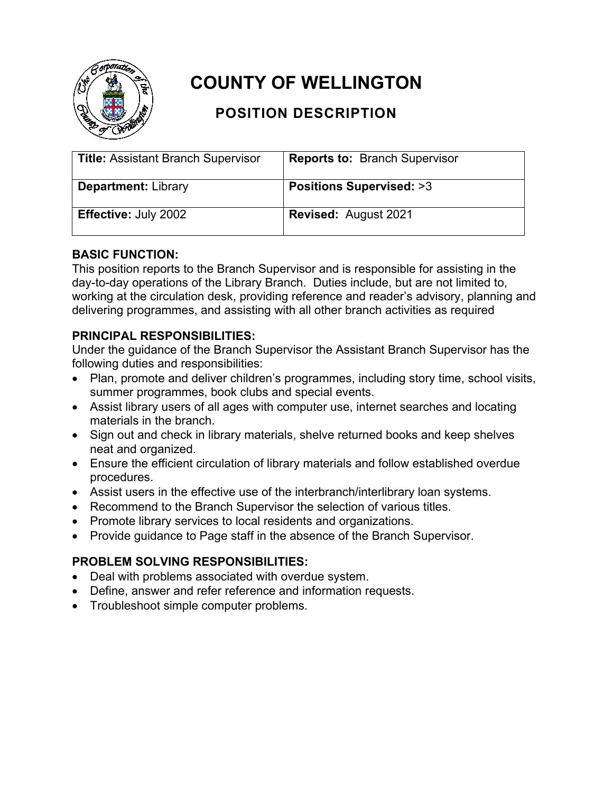

# **COUNTY OF WELLINGTON**

# **POSITION DESCRIPTION**

| <b>Title: Assistant Branch Supervisor</b> | <b>Reports to: Branch Supervisor</b> |
|-------------------------------------------|--------------------------------------|
| <b>Department: Library</b>                | <b>Positions Supervised: &gt;3</b>   |
| <b>Effective: July 2002</b>               | <b>Revised: August 2021</b>          |

### **BASIC FUNCTION:**

This position reports to the Branch Supervisor and is responsible for assisting in the day-to-day operations of the Library Branch. Duties include, but are not limited to, working at the circulation desk, providing reference and reader's advisory, planning and delivering programmes, and assisting with all other branch activities as required

## **PRINCIPAL RESPONSIBILITIES:**

Under the guidance of the Branch Supervisor the Assistant Branch Supervisor has the following duties and responsibilities:

- Plan, promote and deliver children's programmes, including story time, school visits, summer programmes, book clubs and special events.
- Assist library users of all ages with computer use, internet searches and locating materials in the branch.
- Sign out and check in library materials, shelve returned books and keep shelves neat and organized.
- Ensure the efficient circulation of library materials and follow established overdue procedures.
- Assist users in the effective use of the interbranch/interlibrary loan systems.
- Recommend to the Branch Supervisor the selection of various titles.
- Promote library services to local residents and organizations.
- Provide guidance to Page staff in the absence of the Branch Supervisor.

## **PROBLEM SOLVING RESPONSIBILITIES:**

- Deal with problems associated with overdue system.
- Define, answer and refer reference and information requests.
- Troubleshoot simple computer problems.